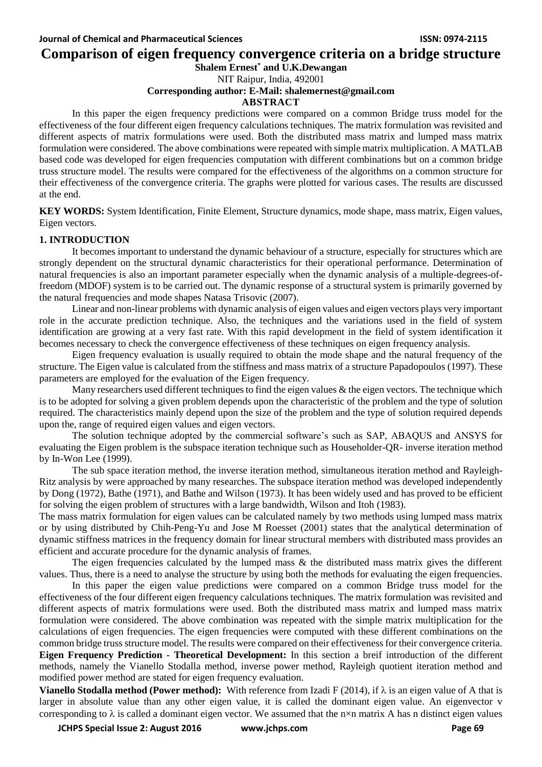**Comparison of eigen frequency convergence criteria on a bridge structure**

**Shalem Ernest\* and U.K.Dewangan**

NIT Raipur, India, 492001

## **Corresponding author: E-Mail: [shalemernest@gmail.com](mailto:shalemernest@gmail.com)**

## **ABSTRACT**

In this paper the eigen frequency predictions were compared on a common Bridge truss model for the effectiveness of the four different eigen frequency calculations techniques. The matrix formulation was revisited and different aspects of matrix formulations were used. Both the distributed mass matrix and lumped mass matrix formulation were considered. The above combinations were repeated with simple matrix multiplication. A MATLAB based code was developed for eigen frequencies computation with different combinations but on a common bridge truss structure model. The results were compared for the effectiveness of the algorithms on a common structure for their effectiveness of the convergence criteria. The graphs were plotted for various cases. The results are discussed at the end.

**KEY WORDS:** System Identification, Finite Element, Structure dynamics, mode shape, mass matrix, Eigen values, Eigen vectors.

## **1. INTRODUCTION**

It becomes important to understand the dynamic behaviour of a structure, especially for structures which are strongly dependent on the structural dynamic characteristics for their operational performance. Determination of natural frequencies is also an important parameter especially when the dynamic analysis of a multiple-degrees-offreedom (MDOF) system is to be carried out. The dynamic response of a structural system is primarily governed by the natural frequencies and mode shapes Natasa Trisovic (2007).

Linear and non-linear problems with dynamic analysis of eigen values and eigen vectors plays very important role in the accurate prediction technique. Also, the techniques and the variations used in the field of system identification are growing at a very fast rate. With this rapid development in the field of system identification it becomes necessary to check the convergence effectiveness of these techniques on eigen frequency analysis.

Eigen frequency evaluation is usually required to obtain the mode shape and the natural frequency of the structure. The Eigen value is calculated from the stiffness and mass matrix of a structure Papadopoulos (1997). These parameters are employed for the evaluation of the Eigen frequency.

Many researchers used different techniques to find the eigen values  $\&$  the eigen vectors. The technique which is to be adopted for solving a given problem depends upon the characteristic of the problem and the type of solution required. The characteristics mainly depend upon the size of the problem and the type of solution required depends upon the, range of required eigen values and eigen vectors.

The solution technique adopted by the commercial software's such as SAP, ABAQUS and ANSYS for evaluating the Eigen problem is the subspace iteration technique such as Householder-QR- inverse iteration method by In-Won Lee (1999).

The sub space iteration method, the inverse iteration method, simultaneous iteration method and Rayleigh-Ritz analysis by were approached by many researches. The subspace iteration method was developed independently by Dong (1972), Bathe (1971), and Bathe and Wilson (1973). It has been widely used and has proved to be efficient for solving the eigen problem of structures with a large bandwidth, Wilson and Itoh (1983).

The mass matrix formulation for eigen values can be calculated namely by two methods using lumped mass matrix or by using distributed by Chih-Peng-Yu and Jose M Roesset (2001) states that the analytical determination of dynamic stiffness matrices in the frequency domain for linear structural members with distributed mass provides an efficient and accurate procedure for the dynamic analysis of frames.

The eigen frequencies calculated by the lumped mass  $\&$  the distributed mass matrix gives the different values. Thus, there is a need to analyse the structure by using both the methods for evaluating the eigen frequencies.

In this paper the eigen value predictions were compared on a common Bridge truss model for the effectiveness of the four different eigen frequency calculations techniques. The matrix formulation was revisited and different aspects of matrix formulations were used. Both the distributed mass matrix and lumped mass matrix formulation were considered. The above combination was repeated with the simple matrix multiplication for the calculations of eigen frequencies. The eigen frequencies were computed with these different combinations on the common bridge truss structure model. The results were compared on their effectiveness for their convergence criteria. **Eigen Frequency Prediction - Theoretical Development:** In this section a breif introduction of the different methods, namely the Vianello Stodalla method, inverse power method, Rayleigh quotient iteration method and modified power method are stated for eigen frequency evaluation.

**Vianello Stodalla method (Power method):** With reference from Izadi F (2014), if  $\lambda$  is an eigen value of A that is larger in absolute value than any other eigen value, it is called the dominant eigen value. An eigenvector v corresponding to  $\lambda$  is called a dominant eigen vector. We assumed that the n×n matrix A has n distinct eigen values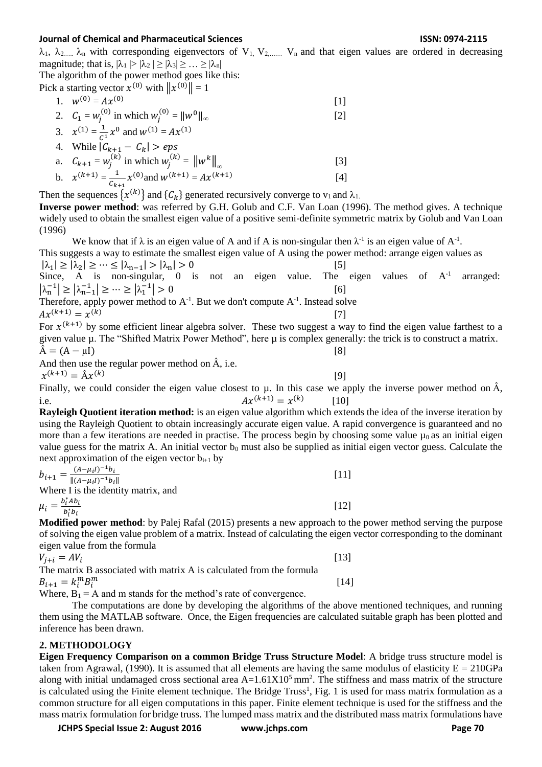$\lambda_1$ ,  $\lambda_2$ ....  $\lambda_n$  with corresponding eigenvectors of V<sub>1</sub>, V<sub>2</sub>,...... V<sub>n</sub> and that eigen values are ordered in decreasing magnitude; that is,  $|\lambda_1| > |\lambda_2| \ge |\lambda_3| \ge ... \ge |\lambda_n|$ 

The algorithm of the power method goes like this:

Pick a starting vector 
$$
x^{(0)}
$$
 with  $||x^{(0)}|| = 1$ 

\n1.  $w^{(0)} = Ax^{(0)}$  [1]

\n2.  $C_1 = w_j^{(0)}$  in which  $w_j^{(0)} = ||w^0||_{\infty}$  [2]

\n3.  $x^{(1)} = \frac{1}{c^1}x^0$  and  $w^{(1)} = Ax^{(1)}$ 

\n4. While  $|C_{k+1} - C_k| > eps$ 

\na.  $C_{k+1} = w_j^{(k)}$  in which  $w_j^{(k)} = ||w^k||_{\infty}$  [3]

a. 
$$
C_{k+1} - w_j
$$
 in which  $w_j = ||w||_{\infty}$   
\nb.  $\chi^{(k+1)} = \frac{1}{C_{k+1}} \chi^{(0)}$  and  $w^{(k+1)} = Ax^{(k+1)}$  [4]

Then the sequences  $\{x^{(k)}\}$  and  $\{C_k\}$  generated recursively converge to  $v_1$  and  $\lambda_1$ .

**Inverse power method**: was referred by G.H. Golub and C.F. Van Loan (1996). The method gives. A technique widely used to obtain the smallest eigen value of a positive semi-definite symmetric matrix by Golub and Van Loan (1996)

We know that if  $\lambda$  is an eigen value of A and if A is non-singular then  $\lambda$ <sup>-1</sup> is an eigen value of A<sup>-1</sup>. This suggests a way to estimate the smallest eigen value of A using the power method: arrange eigen values as  $|\lambda_1| \ge |\lambda_2| \ge \cdots \le |\lambda_{n-1}| > |\lambda_n| > 0$  [5] Since, A is non-singular,  $0$  is not an eigen value. The eigen values of  $A^{-1}$  arranged:  $|\lambda_n^{-1}| \ge |\lambda_{n-1}^{-1}| \ge \cdots \ge |\lambda_1^{-1}| > 0$  [6] Therefore, apply power method to  $A^{-1}$ . But we don't compute  $A^{-1}$ . Instead solve  $Ax^{(k+1)} = x^{(k)}$ [7] For  $x^{(k+1)}$  by some efficient linear algebra solver. These two suggest a way to find the eigen value farthest to a given value  $\mu$ . The "Shifted Matrix Power Method", here  $\mu$  is complex generally: the trick is to construct a matrix.  $\hat{A} = (A - \mu I)$  [8] And then use the regular power method on  $\hat{A}$ , i.e.  $x^{(k+1)} = \hat{A}x^{(k)}$  [9] Finally, we could consider the eigen value closest to  $\mu$ . In this case we apply the inverse power method on  $\hat{A}$ , i.e.  $Ax^{(k+1)} = x^{(k)}$  [10] **Rayleigh Quotient iteration method:** is an eigen value algorithm which extends the idea of the inverse iteration by using the Rayleigh Quotient to obtain increasingly accurate eigen value. A rapid convergence is guaranteed and no more than a few iterations are needed in practise. The process begin by choosing some value  $\mu_0$  as an initial eigen value guess for the matrix A. An initial vector  $b_0$  must also be supplied as initial eigen vector guess. Calculate the next approximation of the eigen vector  $b_{i+1}$  by  $b_{i+1} = \frac{(A - \mu_i I)^{-1} b_i}{\frac{\| (A - \mu_i I)^{-1} b_i}{\| (A - \mu_i I)^{-1} b_i}}$  $||(A - \mu_i I)^{-1}b_i||$  $\begin{bmatrix} 11 \end{bmatrix}$ Where I is the identity matrix, and  $\mu_i = \frac{b_i^* A b_i}{b_i^* b_i}$ [12]

 $\overline{b_i^*b_i}$ **Modified power method**: by Palej Rafal (2015) presents a new approach to the power method serving the purpose of solving the eigen value problem of a matrix. Instead of calculating the eigen vector corresponding to the dominant eigen value from the formula

$$
V_{j+i} = AV_i
$$
\nThe matrix B associated with matrix A is calculated from the formula\n
$$
B_{i+1} = k_i^m B_i^m
$$
\n[13]

 $B_{i+1} = k_i^m B_i^n$ Where,  $B_1 = A$  and m stands for the method's rate of convergence.

The computations are done by developing the algorithms of the above mentioned techniques, and running them using the MATLAB software. Once, the Eigen frequencies are calculated suitable graph has been plotted and inference has been drawn.

# **2. METHODOLOGY**

**Eigen Frequency Comparison on a common Bridge Truss Structure Model**: A bridge truss structure model is taken from Agrawal, (1990). It is assumed that all elements are having the same modulus of elasticity  $E = 210GPa$ along with initial undamaged cross sectional area  $A=1.61X10<sup>5</sup>$  mm<sup>2</sup>. The stiffness and mass matrix of the structure is calculated using the Finite element technique. The Bridge Truss<sup>1</sup>, Fig. 1 is used for mass matrix formulation as a common structure for all eigen computations in this paper. Finite element technique is used for the stiffness and the mass matrix formulation for bridge truss. The lumped mass matrix and the distributed mass matrix formulations have

**JCHPS Special Issue 2: August 2016 www.jchps.com Page 70**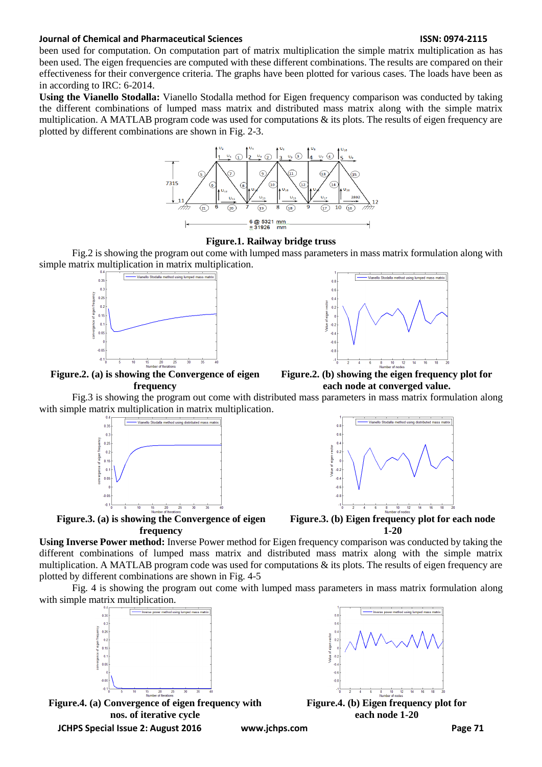been used for computation. On computation part of matrix multiplication the simple matrix multiplication as has been used. The eigen frequencies are computed with these different combinations. The results are compared on their effectiveness for their convergence criteria. The graphs have been plotted for various cases. The loads have been as in according to IRC: 6-2014.

**Using the Vianello Stodalla:** Vianello Stodalla method for Eigen frequency comparison was conducted by taking the different combinations of lumped mass matrix and distributed mass matrix along with the simple matrix multiplication. A MATLAB program code was used for computations  $\&$  its plots. The results of eigen frequency are plotted by different combinations are shown in Fig. 2-3.





Fig.2 is showing the program out come with lumped mass parameters in mass matrix formulation along with simple matrix multiplication in matrix multiplication.



**Figure.2. (a) is showing the Convergence of eigen frequency**



**Figure.2. (b) showing the eigen frequency plot for each node at converged value.**

Fig.3 is showing the program out come with distributed mass parameters in mass matrix formulation along with simple matrix multiplication in matrix multiplication.



**Figure.3. (a) is showing the Convergence of eigen frequency**



**Figure.3. (b) Eigen frequency plot for each node 1-20**

**Using Inverse Power method:** Inverse Power method for Eigen frequency comparison was conducted by taking the different combinations of lumped mass matrix and distributed mass matrix along with the simple matrix multiplication. A MATLAB program code was used for computations  $\&$  its plots. The results of eigen frequency are plotted by different combinations are shown in Fig. 4-5

Fig. 4 is showing the program out come with lumped mass parameters in mass matrix formulation along with simple matrix multiplication.





**Figure.4. (b) Eigen frequency plot for each node 1-20**

**JCHPS Special Issue 2: August 2016 www.jchps.com Page 71**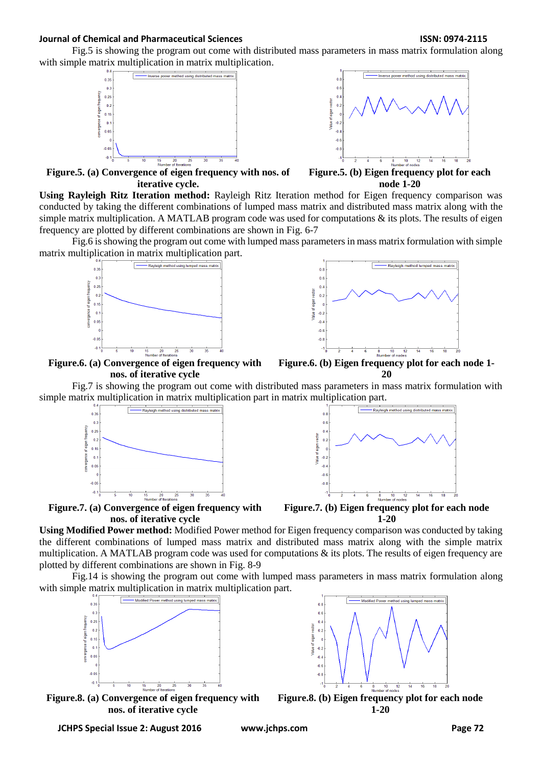Fig.5 is showing the program out come with distributed mass parameters in mass matrix formulation along with simple matrix multiplication in matrix multiplication.





**Figure.5. (a) Convergence of eigen frequency with nos. of iterative cycle.**



**Using Rayleigh Ritz Iteration method:** Rayleigh Ritz Iteration method for Eigen frequency comparison was conducted by taking the different combinations of lumped mass matrix and distributed mass matrix along with the simple matrix multiplication. A MATLAB program code was used for computations  $\&$  its plots. The results of eigen frequency are plotted by different combinations are shown in Fig. 6-7

Fig.6 is showing the program out come with lumped mass parameters in mass matrix formulation with simple matrix multiplication in matrix multiplication part.





**Figure.6. (a) Convergence of eigen frequency with nos. of iterative cycle**



Fig.7 is showing the program out come with distributed mass parameters in mass matrix formulation with simple matrix multiplication in matrix multiplication part in matrix multiplication part.



**Figure.7. (a) Convergence of eigen frequency with nos. of iterative cycle**



**Figure.7. (b) Eigen frequency plot for each node 1-20**

**Using Modified Power method:** Modified Power method for Eigen frequency comparison was conducted by taking the different combinations of lumped mass matrix and distributed mass matrix along with the simple matrix multiplication. A MATLAB program code was used for computations  $\&$  its plots. The results of eigen frequency are plotted by different combinations are shown in Fig. 8-9

Fig.14 is showing the program out come with lumped mass parameters in mass matrix formulation along with simple matrix multiplication in matrix multiplication part.



**Figure.8. (a) Convergence of eigen frequency with nos. of iterative cycle**



**1-20**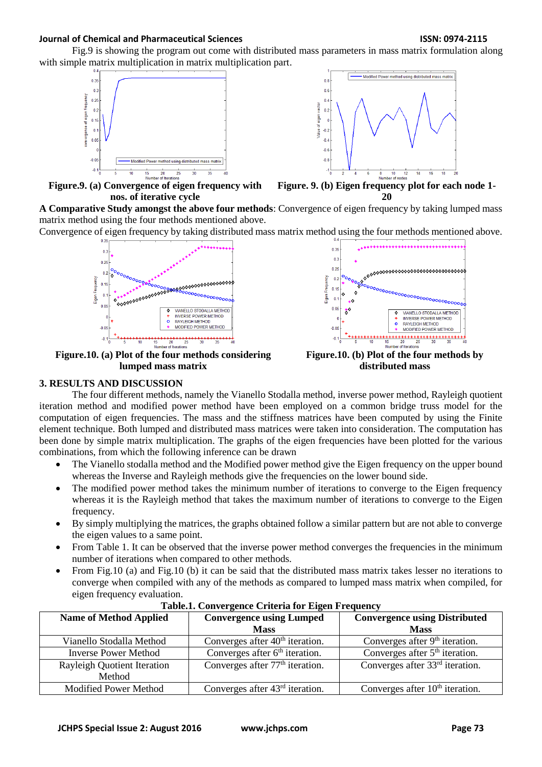Fig.9 is showing the program out come with distributed mass parameters in mass matrix formulation along with simple matrix multiplication in matrix multiplication part.



**Figure.9. (a) Convergence of eigen frequency with nos. of iterative cycle**



**Figure. 9. (b) Eigen frequency plot for each node 1- 20**

**A Comparative Study amongst the above four methods**: Convergence of eigen frequency by taking lumped mass matrix method using the four methods mentioned above.

Convergence of eigen frequency by taking distributed mass matrix method using the four methods mentioned above.



**Figure.10. (a) Plot of the four methods considering lumped mass matrix**



**Figure.10. (b) Plot of the four methods by distributed mass**

# **3. RESULTS AND DISCUSSION**

The four different methods, namely the Vianello Stodalla method, inverse power method, Rayleigh quotient iteration method and modified power method have been employed on a common bridge truss model for the computation of eigen frequencies. The mass and the stiffness matrices have been computed by using the Finite element technique. Both lumped and distributed mass matrices were taken into consideration. The computation has been done by simple matrix multiplication. The graphs of the eigen frequencies have been plotted for the various combinations, from which the following inference can be drawn

- The Vianello stodalla method and the Modified power method give the Eigen frequency on the upper bound whereas the Inverse and Rayleigh methods give the frequencies on the lower bound side.
- The modified power method takes the minimum number of iterations to converge to the Eigen frequency whereas it is the Rayleigh method that takes the maximum number of iterations to converge to the Eigen frequency.
- By simply multiplying the matrices, the graphs obtained follow a similar pattern but are not able to converge the eigen values to a same point.
- From Table 1. It can be observed that the inverse power method converges the frequencies in the minimum number of iterations when compared to other methods.
- From Fig.10 (a) and Fig.10 (b) it can be said that the distributed mass matrix takes lesser no iterations to converge when compiled with any of the methods as compared to lumped mass matrix when compiled, for eigen frequency evaluation.

| <b>Name of Method Applied</b>                | <b>Convergence using Lumped</b>             | <b>Convergence using Distributed</b>        |
|----------------------------------------------|---------------------------------------------|---------------------------------------------|
|                                              | <b>Mass</b>                                 | <b>Mass</b>                                 |
| Vianello Stodalla Method                     | Converges after 40 <sup>th</sup> iteration. | Converges after $9th$ iteration.            |
| <b>Inverse Power Method</b>                  | Converges after $6th$ iteration.            | Converges after $5th$ iteration.            |
| <b>Rayleigh Quotient Iteration</b><br>Method | Converges after 77 <sup>th</sup> iteration. | Converges after 33 <sup>rd</sup> iteration. |
| <b>Modified Power Method</b>                 | Converges after $43rd$ iteration.           | Converges after $10th$ iteration.           |

**Table.1. Convergence Criteria for Eigen Frequency**